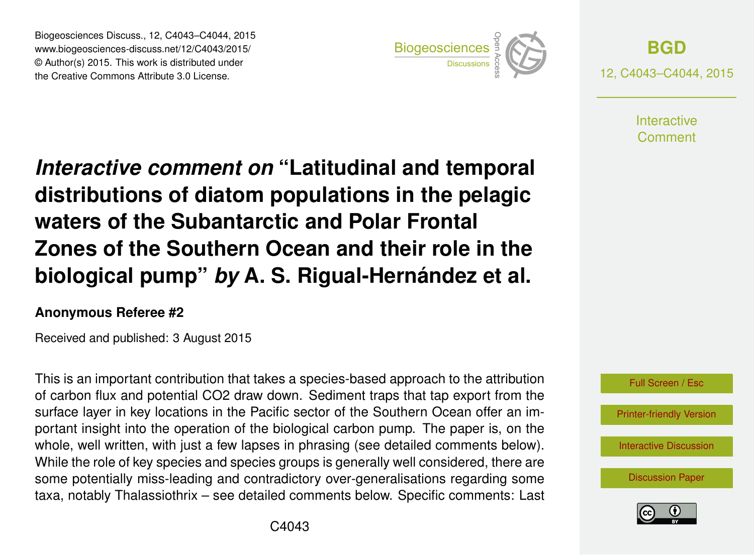Biogeosciences Discuss., 12, C4043–C4044, 2015 www.biogeosciences-discuss.net/12/C4043/2015/ © Author(s) 2015. This work is distributed under Biogeosciences Discuss., 12, C4043–C4044, 2015<br>www.biogeosciences-discuss.net/12/C4043/2015/<br>© Author(s) 2015. This work is distributed under<br>the Creative Commons Attribute 3.0 License.



**[BGD](http://www.biogeosciences-discuss.net)** 12, C4043–C4044, 2015

> **Interactive** Comment

*Interactive comment on* **"Latitudinal and temporal distributions of diatom populations in the pelagic waters of the Subantarctic and Polar Frontal Zones of the Southern Ocean and their role in the biological pump"** *by* **A. S. Rigual-Hernández et al.**

## **Anonymous Referee #2**

Received and published: 3 August 2015

This is an important contribution that takes a species-based approach to the attribution of carbon flux and potential CO2 draw down. Sediment traps that tap export from the surface layer in key locations in the Pacific sector of the Southern Ocean offer an important insight into the operation of the biological carbon pump. The paper is, on the whole, well written, with just a few lapses in phrasing (see detailed comments below). While the role of key species and species groups is generally well considered, there are some potentially miss-leading and contradictory over-generalisations regarding some taxa, notably Thalassiothrix – see detailed comments below. Specific comments: Last